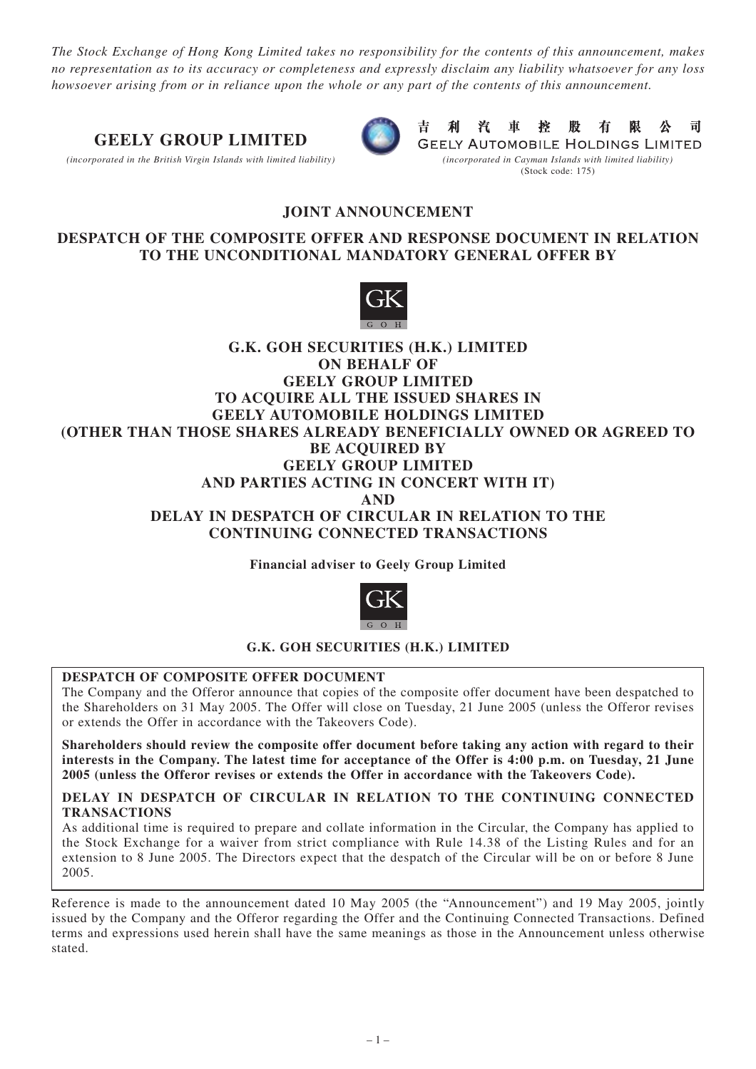*The Stock Exchange of Hong Kong Limited takes no responsibility for the contents of this announcement, makes no representation as to its accuracy or completeness and expressly disclaim any liability whatsoever for any loss howsoever arising from or in reliance upon the whole or any part of the contents of this announcement.*

# **GEELY GROUP LIMITED**

*(incorporated in the British Virgin Islands with limited liability) (incorporated in Cayman Islands with limited liability)*



吉 利 汽 車 控 股 有 限 公 司 **GEELY AUTOMOBILE HOLDINGS LIMITED** (Stock code: 175)

# **JOINT ANNOUNCEMENT**

# **DESPATCH OF THE COMPOSITE OFFER AND RESPONSE DOCUMENT IN RELATION TO THE UNCONDITIONAL MANDATORY GENERAL OFFER BY**



# **G.K. GOH SECURITIES (H.K.) LIMITED ON BEHALF OF GEELY GROUP LIMITED TO ACQUIRE ALL THE ISSUED SHARES IN GEELY AUTOMOBILE HOLDINGS LIMITED (OTHER THAN THOSE SHARES ALREADY BENEFICIALLY OWNED OR AGREED TO BE ACQUIRED BY GEELY GROUP LIMITED AND PARTIES ACTING IN CONCERT WITH IT) AND DELAY IN DESPATCH OF CIRCULAR IN RELATION TO THE CONTINUING CONNECTED TRANSACTIONS**

**Financial adviser to Geely Group Limited**



### **G.K. GOH SECURITIES (H.K.) LIMITED**

### **DESPATCH OF COMPOSITE OFFER DOCUMENT**

The Company and the Offeror announce that copies of the composite offer document have been despatched to the Shareholders on 31 May 2005. The Offer will close on Tuesday, 21 June 2005 (unless the Offeror revises or extends the Offer in accordance with the Takeovers Code).

**Shareholders should review the composite offer document before taking any action with regard to their interests in the Company. The latest time for acceptance of the Offer is 4:00 p.m. on Tuesday, 21 June 2005 (unless the Offeror revises or extends the Offer in accordance with the Takeovers Code).**

#### **DELAY IN DESPATCH OF CIRCULAR IN RELATION TO THE CONTINUING CONNECTED TRANSACTIONS**

As additional time is required to prepare and collate information in the Circular, the Company has applied to the Stock Exchange for a waiver from strict compliance with Rule 14.38 of the Listing Rules and for an extension to 8 June 2005. The Directors expect that the despatch of the Circular will be on or before 8 June 2005.

Reference is made to the announcement dated 10 May 2005 (the "Announcement") and 19 May 2005, jointly issued by the Company and the Offeror regarding the Offer and the Continuing Connected Transactions. Defined terms and expressions used herein shall have the same meanings as those in the Announcement unless otherwise stated.